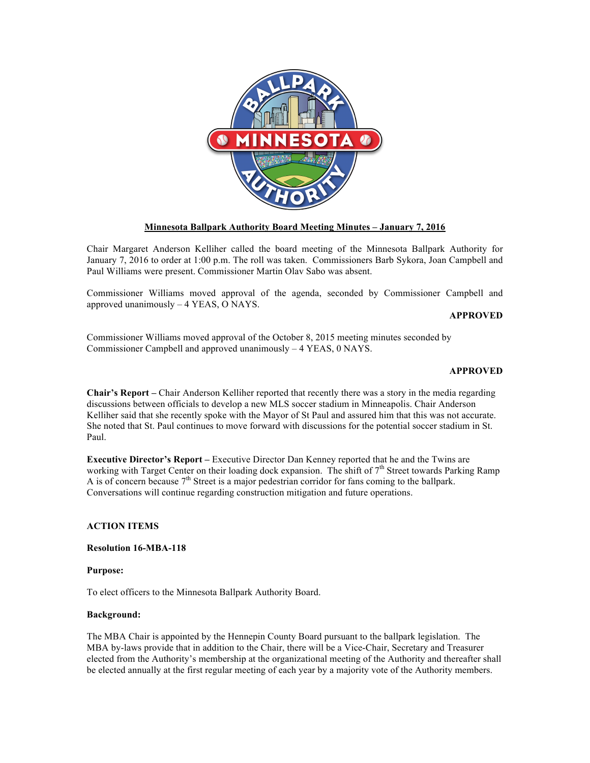

# **Minnesota Ballpark Authority Board Meeting Minutes – January 7, 2016**

Chair Margaret Anderson Kelliher called the board meeting of the Minnesota Ballpark Authority for January 7, 2016 to order at 1:00 p.m. The roll was taken. Commissioners Barb Sykora, Joan Campbell and Paul Williams were present. Commissioner Martin Olav Sabo was absent.

Commissioner Williams moved approval of the agenda, seconded by Commissioner Campbell and approved unanimously – 4 YEAS, O NAYS.

## **APPROVED**

Commissioner Williams moved approval of the October 8, 2015 meeting minutes seconded by Commissioner Campbell and approved unanimously – 4 YEAS, 0 NAYS.

## **APPROVED**

**Chair's Report –** Chair Anderson Kelliher reported that recently there was a story in the media regarding discussions between officials to develop a new MLS soccer stadium in Minneapolis. Chair Anderson Kelliher said that she recently spoke with the Mayor of St Paul and assured him that this was not accurate. She noted that St. Paul continues to move forward with discussions for the potential soccer stadium in St. Paul.

**Executive Director's Report –** Executive Director Dan Kenney reported that he and the Twins are working with Target Center on their loading dock expansion. The shift of  $7<sup>th</sup>$  Street towards Parking Ramp A is of concern because  $7<sup>th</sup>$  Street is a major pedestrian corridor for fans coming to the ballpark. Conversations will continue regarding construction mitigation and future operations.

## **ACTION ITEMS**

## **Resolution 16-MBA-118**

#### **Purpose:**

To elect officers to the Minnesota Ballpark Authority Board.

## **Background:**

The MBA Chair is appointed by the Hennepin County Board pursuant to the ballpark legislation. The MBA by-laws provide that in addition to the Chair, there will be a Vice-Chair, Secretary and Treasurer elected from the Authority's membership at the organizational meeting of the Authority and thereafter shall be elected annually at the first regular meeting of each year by a majority vote of the Authority members.